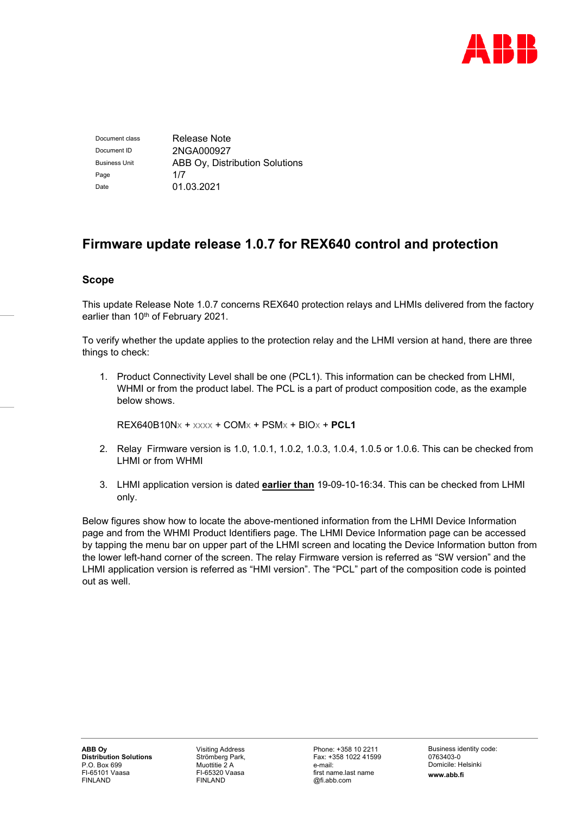

Document class Release Note Document ID 2NGA000927 Business Unit **ABB Ov, Distribution Solutions** Page 1/7 Date 01.03.2021

# **Firmware update release 1.0.7 for REX640 control and protection**

# **Scope**

This update Release Note 1.0.7 concerns REX640 protection relays and LHMIs delivered from the factory earlier than 10<sup>th</sup> of February 2021.

To verify whether the update applies to the protection relay and the LHMI version at hand, there are three things to check:

1. Product Connectivity Level shall be one (PCL1). This information can be checked from LHMI, WHMI or from the product label. The PCL is a part of product composition code, as the example below shows.

REX640B10Nx + xxxx + COMx + PSMx + BIOx + **PCL1**

- 2. Relay Firmware version is 1.0, 1.0.1, 1.0.2, 1.0.3, 1.0.4, 1.0.5 or 1.0.6. This can be checked from LHMI or from WHMI
- 3. LHMI application version is dated **earlier than** 19-09-10-16:34. This can be checked from LHMI only.

Below figures show how to locate the above-mentioned information from the LHMI Device Information page and from the WHMI Product Identifiers page. The LHMI Device Information page can be accessed by tapping the menu bar on upper part of the LHMI screen and locating the Device Information button from the lower left-hand corner of the screen. The relay Firmware version is referred as "SW version" and the LHMI application version is referred as "HMI version". The "PCL" part of the composition code is pointed out as well.

Visiting Address Strömberg Park, Muottitie 2 A FI-65320 Vaasa FINLAND

Phone: +358 10 2211 Fax: +358 1022 41599 e-mail: first name.last name @fi.abb.com

Business identity code: 0763403-0 Domicile: Helsinki **www.abb.fi**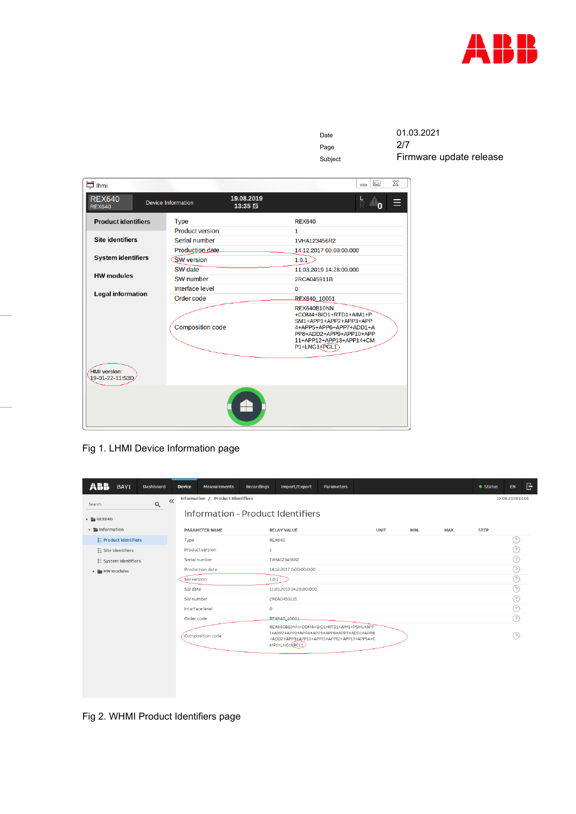

| Date    | 01.03.2021              |
|---------|-------------------------|
| Page    | 2/7                     |
| Subject | Firmware update release |

| lhmi لَيْتَا                    |                           |                     |                                                                                                                                                                               | $\Sigma$<br>$\Box$<br>$\equiv$ |  |  |  |  |  |
|---------------------------------|---------------------------|---------------------|-------------------------------------------------------------------------------------------------------------------------------------------------------------------------------|--------------------------------|--|--|--|--|--|
| <b>REX640</b><br><b>REX640</b>  | <b>Device Information</b> | 19.08.2019<br>13:35 |                                                                                                                                                                               | $rac{L}{D}$                    |  |  |  |  |  |
| <b>Product identifiers</b>      | <b>Type</b>               |                     | <b>REX640</b>                                                                                                                                                                 |                                |  |  |  |  |  |
|                                 | <b>Product version</b>    |                     | $\mathbf{1}$                                                                                                                                                                  |                                |  |  |  |  |  |
| <b>Site identifiers</b>         | Serial number             |                     | 1VHA123456R2                                                                                                                                                                  |                                |  |  |  |  |  |
|                                 | <b>Production date</b>    |                     |                                                                                                                                                                               | 14.12.2017 00:00:00.000        |  |  |  |  |  |
| <b>System identifiers</b>       | <b>SW</b> version         |                     | 1.0.1                                                                                                                                                                         |                                |  |  |  |  |  |
|                                 | SW date                   |                     | 11.03.2019 14:28:00.000                                                                                                                                                       |                                |  |  |  |  |  |
| <b>HW modules</b>               | SW number                 |                     | 2RCA045911B                                                                                                                                                                   |                                |  |  |  |  |  |
|                                 | Interface level           |                     | $\Omega$                                                                                                                                                                      |                                |  |  |  |  |  |
| <b>Legal information</b>        | Order code                |                     | REX640 10001                                                                                                                                                                  |                                |  |  |  |  |  |
|                                 | <b>Composition code</b>   |                     | REX640B10NN<br>+COM4+BIO1+RTD1+AIM1+P<br>SM1+APP1+APP2+APP3+APP<br>4+APP5+APP6+APP7+ADD1+A<br>PP8+ADD2+APP9+APP10+APP<br>11+APP12+APP13+APP14+CM<br>P1+LNG1 <sub>e</sub> PCL1 |                                |  |  |  |  |  |
| HMI version:<br>19-01-22-11:53D |                           |                     |                                                                                                                                                                               |                                |  |  |  |  |  |
|                                 |                           |                     |                                                                                                                                                                               |                                |  |  |  |  |  |

Fig 1. LHMI Device Information page

| BAY1                                       | <b>Dashboard</b>  | <b>Device</b>   | <b>Measurements</b>               | <b>Recordings</b> | Import/Export                                                                                                                                         | <b>Parameters</b> |             |      |      | <b>•</b> Status | G<br>EN          |
|--------------------------------------------|-------------------|-----------------|-----------------------------------|-------------------|-------------------------------------------------------------------------------------------------------------------------------------------------------|-------------------|-------------|------|------|-----------------|------------------|
| Search                                     | $\ll$<br>$\alpha$ |                 | Information / Product Identifiers |                   |                                                                                                                                                       |                   |             |      |      |                 | 19.08.2019 13:01 |
| $\sqrt{2}$ REX640                          |                   |                 |                                   |                   | Information - Product Identifiers                                                                                                                     |                   |             |      |      |                 |                  |
| $\mathbf{v}$ <b>F</b> Information          |                   |                 | <b>PARAMETER NAME</b>             |                   | <b>RELAY VALUE</b>                                                                                                                                    |                   | <b>UNIT</b> | MIN. | MAX. | <b>STEP</b>     |                  |
| <b>E</b> Product identifiers               |                   | Type            |                                   |                   | <b>REX640</b>                                                                                                                                         |                   |             |      |      |                 | (?)              |
| : Site identifiers                         |                   |                 | <b>Product version</b>            | $\mathbf{1}$      |                                                                                                                                                       |                   |             |      |      |                 | (?)              |
| E System identifiers                       |                   | Serial number   |                                   |                   | 1VHA123456R2                                                                                                                                          |                   |             |      |      |                 | ?)               |
| $\triangleright$ $\blacksquare$ HW modules |                   |                 | Production date                   |                   | 14.12.2017 0:00:00:000                                                                                                                                |                   |             |      |      |                 | ⊙                |
|                                            |                   | SW version      |                                   |                   | 1.0.1                                                                                                                                                 |                   |             |      |      |                 | ?                |
|                                            |                   | SW date         |                                   |                   | 11.03.2019 14:28:00:000                                                                                                                               |                   |             |      |      |                 | (?)              |
|                                            |                   | SW number       |                                   |                   | 2RCA045911B                                                                                                                                           |                   |             |      |      |                 | ?                |
|                                            |                   | Interface level |                                   | $\mathbf 0$       |                                                                                                                                                       |                   |             |      |      |                 | ?)               |
|                                            |                   | Order code      |                                   |                   | RFX640_10001                                                                                                                                          |                   |             |      |      |                 | (?)              |
|                                            |                   |                 | Composition code                  |                   | REX640B10NN+COM4+BIO1+RTD1+AIM1+PSM1+APP<br>1+APP2+APP3+APP4+APP5+APP6+APP7+ADD1+APP8<br>+ADD2+APP9+APP10+APP11+APP12+APP13+APP14+C<br>MP1+LNG14PCL1) |                   |             |      |      |                 |                  |
|                                            |                   |                 |                                   |                   |                                                                                                                                                       |                   |             |      |      |                 |                  |

Fig 2. WHMI Product Identifiers page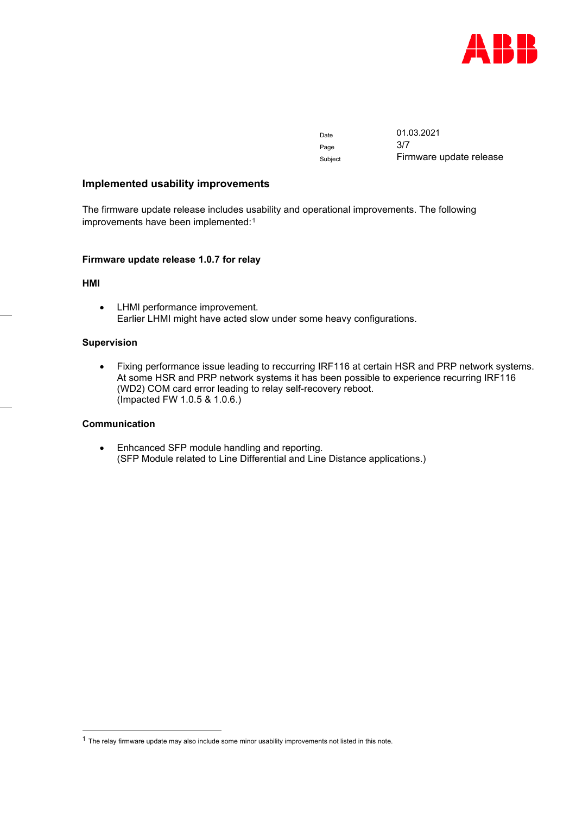

Date 01.03.2021 Page Subject Firmware update release

## **Implemented usability improvements**

The firmware update release includes usability and operational improvements. The following improvements have been implemented:<sup>[1](#page-2-0)</sup>

#### **Firmware update release 1.0.7 for relay**

#### **HMI**

• LHMI performance improvement. Earlier LHMI might have acted slow under some heavy configurations.

#### **Supervision**

• Fixing performance issue leading to reccurring IRF116 at certain HSR and PRP network systems. At some HSR and PRP network systems it has been possible to experience recurring IRF116 (WD2) COM card error leading to relay self-recovery reboot. (Impacted FW 1.0.5 & 1.0.6.)

# **Communication**

• Enhcanced SFP module handling and reporting. (SFP Module related to Line Differential and Line Distance applications.)

<span id="page-2-0"></span><sup>1</sup> The relay firmware update may also include some minor usability improvements not listed in this note.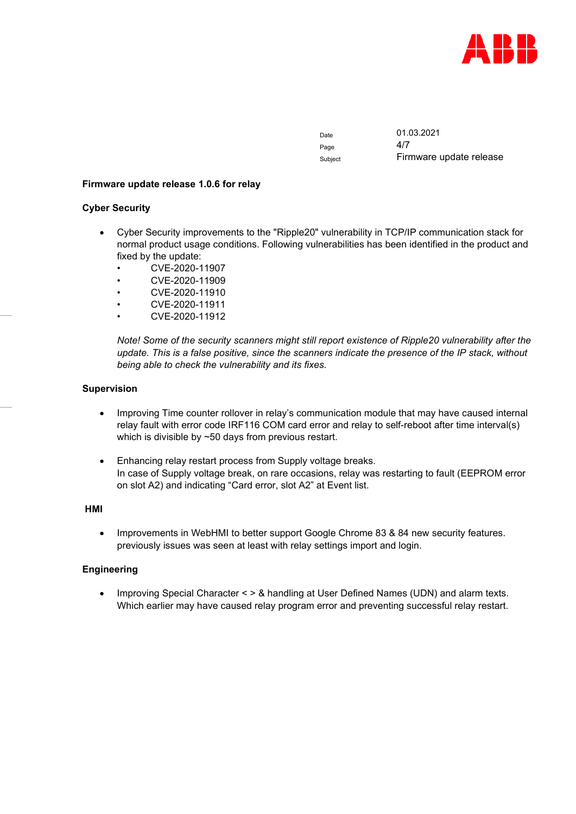

Page

Date 01.03.2021 Subject Firmware update release

## **Firmware update release 1.0.6 for relay**

## **Cyber Security**

- Cyber Security improvements to the "Ripple20" vulnerability in TCP/IP communication stack for normal product usage conditions. Following vulnerabilities has been identified in the product and fixed by the update:
	- CVE-2020-11907
	- CVE-2020-11909
	- CVE-2020-11910
	- CVE-2020-11911
	- CVE-2020-11912

*Note! Some of the security scanners might still report existence of Ripple20 vulnerability after the update. This is a false positive, since the scanners indicate the presence of the IP stack, without being able to check the vulnerability and its fixes.*

## **Supervision**

- Improving Time counter rollover in relay's communication module that may have caused internal relay fault with error code IRF116 COM card error and relay to self-reboot after time interval(s) which is divisible by ~50 days from previous restart.
- Enhancing relay restart process from Supply voltage breaks. In case of Supply voltage break, on rare occasions, relay was restarting to fault (EEPROM error on slot A2) and indicating "Card error, slot A2" at Event list.

## **HMI**

• Improvements in WebHMI to better support Google Chrome 83 & 84 new security features. previously issues was seen at least with relay settings import and login.

# **Engineering**

• Improving Special Character < > & handling at User Defined Names (UDN) and alarm texts. Which earlier may have caused relay program error and preventing successful relay restart.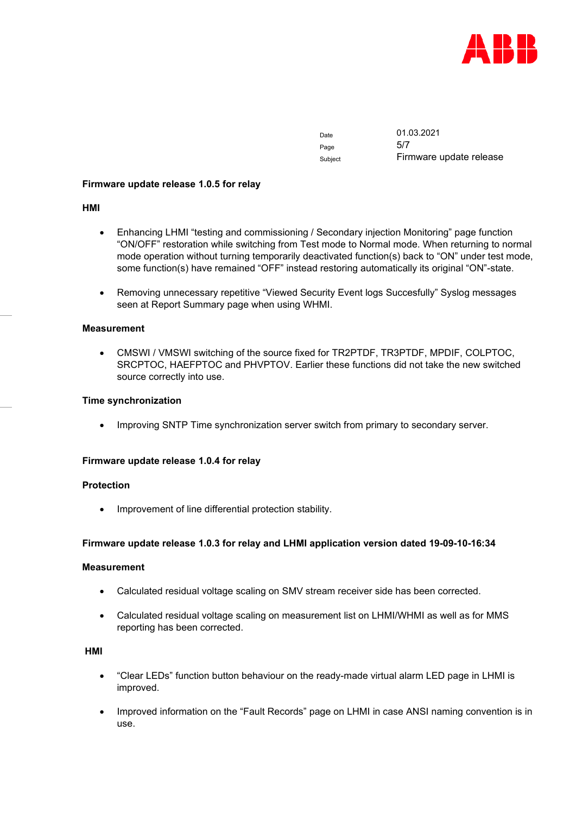

Page 5/7

Date 01.03.2021 Subject Firmware update release

## **Firmware update release 1.0.5 for relay**

## **HMI**

- Enhancing LHMI "testing and commissioning / Secondary injection Monitoring" page function "ON/OFF" restoration while switching from Test mode to Normal mode. When returning to normal mode operation without turning temporarily deactivated function(s) back to "ON" under test mode, some function(s) have remained "OFF" instead restoring automatically its original "ON"-state.
- Removing unnecessary repetitive "Viewed Security Event logs Succesfully" Syslog messages seen at Report Summary page when using WHMI.

## **Measurement**

• CMSWI / VMSWI switching of the source fixed for TR2PTDF, TR3PTDF, MPDIF, COLPTOC, SRCPTOC, HAEFPTOC and PHVPTOV. Earlier these functions did not take the new switched source correctly into use.

## **Time synchronization**

• Improving SNTP Time synchronization server switch from primary to secondary server.

# **Firmware update release 1.0.4 for relay**

#### **Protection**

• Improvement of line differential protection stability.

# **Firmware update release 1.0.3 for relay and LHMI application version dated 19-09-10-16:34**

#### **Measurement**

- Calculated residual voltage scaling on SMV stream receiver side has been corrected.
- Calculated residual voltage scaling on measurement list on LHMI/WHMI as well as for MMS reporting has been corrected.

## **HMI**

- "Clear LEDs" function button behaviour on the ready-made virtual alarm LED page in LHMI is improved.
- Improved information on the "Fault Records" page on LHMI in case ANSI naming convention is in use.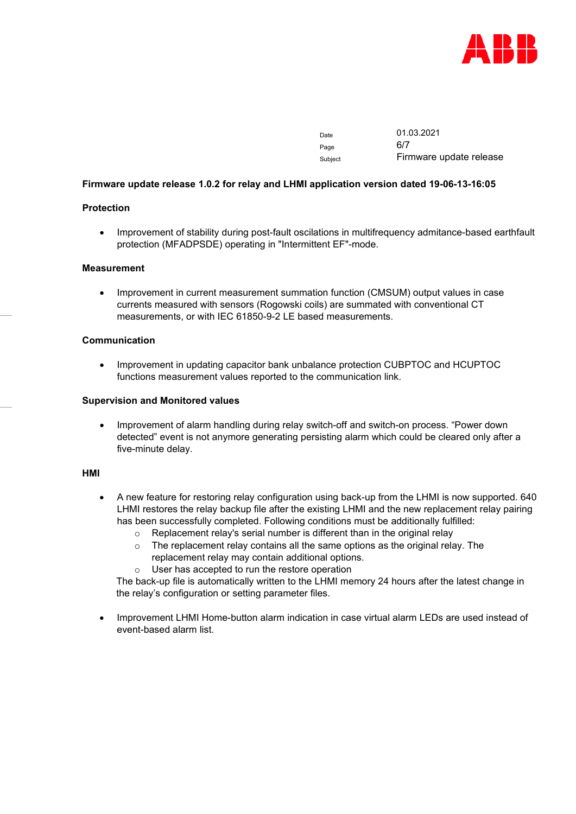

| Date    | 01.03.2021              |
|---------|-------------------------|
| Page    | 6/7                     |
| Subject | Firmware update release |

## **Firmware update release 1.0.2 for relay and LHMI application version dated 19-06-13-16:05**

# **Protection**

• Improvement of stability during post-fault oscilations in multifrequency admitance-based earthfault protection (MFADPSDE) operating in "Intermittent EF"-mode.

#### **Measurement**

• Improvement in current measurement summation function (CMSUM) output values in case currents measured with sensors (Rogowski coils) are summated with conventional CT measurements, or with IEC 61850-9-2 LE based measurements.

#### **Communication**

• Improvement in updating capacitor bank unbalance protection CUBPTOC and HCUPTOC functions measurement values reported to the communication link.

## **Supervision and Monitored values**

• Improvement of alarm handling during relay switch-off and switch-on process. "Power down detected" event is not anymore generating persisting alarm which could be cleared only after a five-minute delay.

#### **HMI**

- A new feature for restoring relay configuration using back-up from the LHMI is now supported. 640 LHMI restores the relay backup file after the existing LHMI and the new replacement relay pairing has been successfully completed. Following conditions must be additionally fulfilled:
	- o Replacement relay's serial number is different than in the original relay
	- $\circ$  The replacement relay contains all the same options as the original relay. The replacement relay may contain additional options.
	- o User has accepted to run the restore operation

The back-up file is automatically written to the LHMI memory 24 hours after the latest change in the relay's configuration or setting parameter files.

• Improvement LHMI Home-button alarm indication in case virtual alarm LEDs are used instead of event-based alarm list.